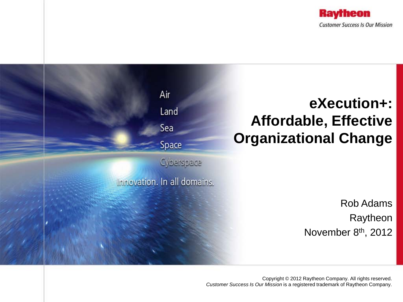



Copyright © 2012 Raytheon Company. All rights reserved. *Customer Success Is Our Mission* is a registered trademark of Raytheon Company.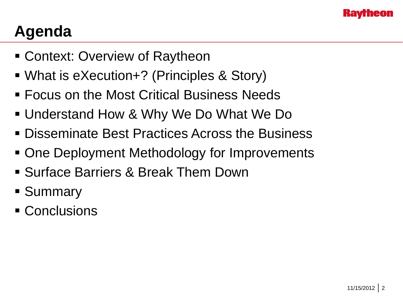

# **Agenda**

- Context: Overview of Raytheon
- What is eXecution+? (Principles & Story)
- Focus on the Most Critical Business Needs
- Understand How & Why We Do What We Do
- **Disseminate Best Practices Across the Business**
- One Deployment Methodology for Improvements
- Surface Barriers & Break Them Down
- **Summary**
- Conclusions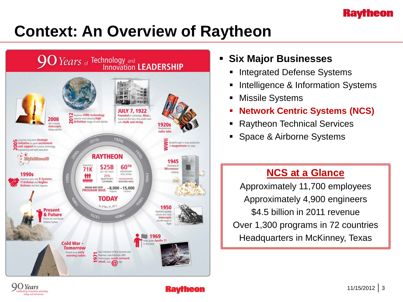#### **Raytheon**

# **Context: An Overview of Raytheon**



- **Six Major Businesses**
	- Integrated Defense Systems
	- Intelligence & Information Systems
	- Missile Systems
	- **Network Centric Systems (NCS)**
	- Raytheon Technical Services
	- Space & Airborne Systems

### **NCS at a Glance**

Approximately 11,700 employees Approximately 4,900 engineers \$4.5 billion in 2011 revenue Over 1,300 programs in 72 countries Headquarters in McKinney, Texas

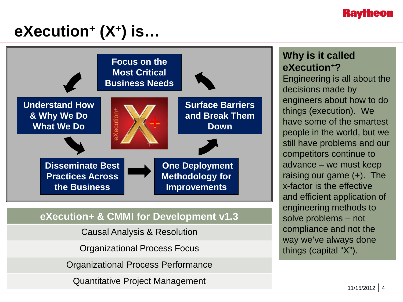#### **Kaytheon**

# **eXecution+ (X+) is…**



#### **eXecution+ & CMMI for Development v1.3**

Causal Analysis & Resolution

Organizational Process Focus

Organizational Process Performance

Quantitative Project Management

#### **Why is it called eXecution+?**

Engineering is all about the decisions made by engineers about how to do things (execution). We have some of the smartest people in the world, but we still have problems and our competitors continue to advance – we must keep raising our game (+). The x-factor is the effective and efficient application of engineering methods to solve problems – not compliance and not the way we've always done things (capital "X").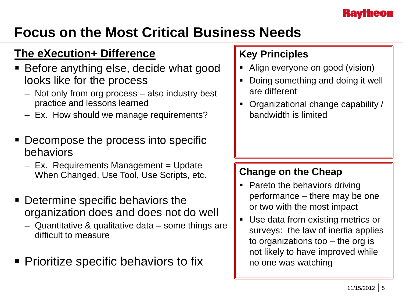## **Focus on the Most Critical Business Needs**

## **The eXecution+ Difference**

- Before anything else, decide what good looks like for the process
	- Not only from org process also industry best practice and lessons learned
	- Ex. How should we manage requirements?
- Decompose the process into specific behaviors
	- $-$  Ex. Requirements Management = Update When Changed, Use Tool, Use Scripts, etc.
- **Determine specific behaviors the** organization does and does not do well
	- Quantitative & qualitative data some things are difficult to measure
- **Prioritize specific behaviors to fix**

## **Key Principles**

- Align everyone on good (vision)
- Doing something and doing it well are different
- Organizational change capability / bandwidth is limited

- Pareto the behaviors driving performance – there may be one or two with the most impact
- Use data from existing metrics or surveys: the law of inertia applies to organizations too – the org is not likely to have improved while no one was watching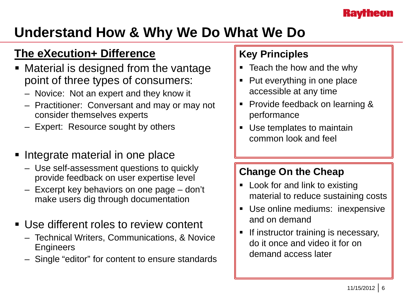## **Understand How & Why We Do What We Do**

## **The eXecution+ Difference**

- Material is designed from the vantage point of three types of consumers:
	- Novice: Not an expert and they know it
	- Practitioner: Conversant and may or may not consider themselves experts
	- Expert: Resource sought by others
- Integrate material in one place
	- Use self-assessment questions to quickly provide feedback on user expertise level
	- Excerpt key behaviors on one page don't make users dig through documentation
- **Use different roles to review content** 
	- Technical Writers, Communications, & Novice **Engineers**
	- Single "editor" for content to ensure standards

## **Key Principles**

- **F** Teach the how and the why
- Put everything in one place accessible at any time
- Provide feedback on learning & performance
- Use templates to maintain common look and feel

- Look for and link to existing material to reduce sustaining costs
- Use online mediums: inexpensive and on demand
- If instructor training is necessary, do it once and video it for on demand access later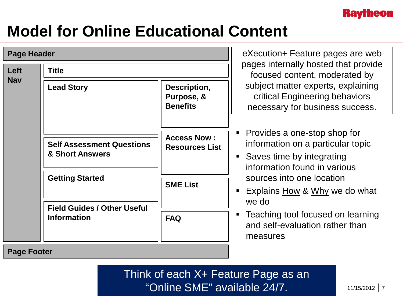

# **Model for Online Educational Content**

**Page Footer**

| <b>Page Header</b> |                                                                                                                                           |                                                                              | eXecution + Feature pages are web                                                                                                                                                                                                                                                                                                                                                                        |
|--------------------|-------------------------------------------------------------------------------------------------------------------------------------------|------------------------------------------------------------------------------|----------------------------------------------------------------------------------------------------------------------------------------------------------------------------------------------------------------------------------------------------------------------------------------------------------------------------------------------------------------------------------------------------------|
| Left<br><b>Nav</b> | <b>Title</b>                                                                                                                              |                                                                              | pages internally hosted that provide<br>focused content, moderated by                                                                                                                                                                                                                                                                                                                                    |
|                    | <b>Lead Story</b>                                                                                                                         | Description,<br>Purpose, &<br><b>Benefits</b>                                | subject matter experts, explaining<br>critical Engineering behaviors<br>necessary for business success.<br>• Provides a one-stop shop for<br>information on a particular topic<br>• Saves time by integrating<br>information found in various<br>sources into one location<br>Explains How & Why we do what<br>we do<br>Teaching tool focused on learning<br>and self-evaluation rather than<br>measures |
|                    | <b>Self Assessment Questions</b><br>& Short Answers<br><b>Getting Started</b><br><b>Field Guides / Other Useful</b><br><b>Information</b> | <b>Access Now:</b><br><b>Resources List</b><br><b>SME List</b><br><b>FAQ</b> |                                                                                                                                                                                                                                                                                                                                                                                                          |
|                    |                                                                                                                                           |                                                                              |                                                                                                                                                                                                                                                                                                                                                                                                          |

Think of each X+ Feature Page as an "Online SME" available 24/7.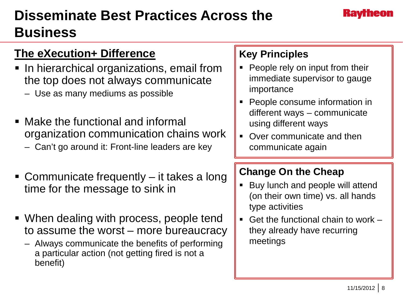# **Disseminate Best Practices Across the Business**

## **The eXecution+ Difference**

- In hierarchical organizations, email from the top does not always communicate
	- Use as many mediums as possible
- Make the functional and informal organization communication chains work
	- Can't go around it: Front-line leaders are key
- Communicate frequently it takes a long time for the message to sink in
- When dealing with process, people tend to assume the worst – more bureaucracy
	- Always communicate the benefits of performing a particular action (not getting fired is not a benefit)

#### **Key Principles**

- People rely on input from their immediate supervisor to gauge importance
- People consume information in different ways – communicate using different ways
- Over communicate and then communicate again

- Buy lunch and people will attend (on their own time) vs. all hands type activities
- Get the functional chain to work they already have recurring meetings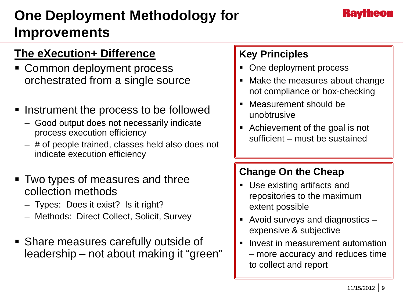## **One Deployment Methodology for Improvements**

## **The eXecution+ Difference**

- **Common deployment process** orchestrated from a single source
- **Instrument the process to be followed** 
	- Good output does not necessarily indicate process execution efficiency
	- # of people trained, classes held also does not indicate execution efficiency
- Two types of measures and three collection methods
	- Types: Does it exist? Is it right?
	- Methods: Direct Collect, Solicit, Survey
- Share measures carefully outside of leadership – not about making it "green"

## **Key Principles**

- One deployment process
- Make the measures about change not compliance or box-checking
- Measurement should be unobtrusive
- Achievement of the goal is not sufficient – must be sustained

- Use existing artifacts and repositories to the maximum extent possible
- Avoid surveys and diagnostics expensive & subjective
- Invest in measurement automation – more accuracy and reduces time to collect and report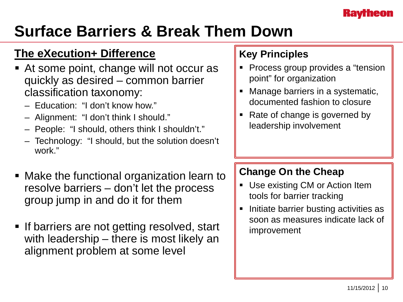# **Surface Barriers & Break Them Down**

## **The eXecution+ Difference**

- At some point, change will not occur as quickly as desired – common barrier classification taxonomy:
	- Education: "I don't know how."
	- Alignment: "I don't think I should."
	- People: "I should, others think I shouldn't."
	- Technology: "I should, but the solution doesn't work"
- Make the functional organization learn to resolve barriers – don't let the process group jump in and do it for them
- **If barriers are not getting resolved, start** with leadership – there is most likely an alignment problem at some level

## **Key Principles**

- Process group provides a "tension" point" for organization
- Manage barriers in a systematic, documented fashion to closure
- Rate of change is governed by leadership involvement

- Use existing CM or Action Item tools for barrier tracking
- Initiate barrier busting activities as soon as measures indicate lack of improvement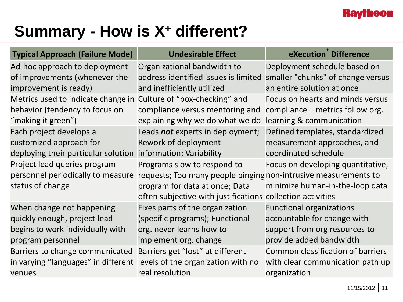# **Summary - How is X+ different?**

| <b>Typical Approach (Failure Mode)</b>                           | <b>Undesirable Effect</b>                                       | eXecution Difference                     |  |  |
|------------------------------------------------------------------|-----------------------------------------------------------------|------------------------------------------|--|--|
| Ad-hoc approach to deployment                                    | Organizational bandwidth to                                     | Deployment schedule based on             |  |  |
| of improvements (whenever the                                    | address identified issues is limited                            | smaller "chunks" of change versus        |  |  |
| improvement is ready)                                            | and inefficiently utilized                                      | an entire solution at once               |  |  |
| Metrics used to indicate change in Culture of "box-checking" and |                                                                 | Focus on hearts and minds versus         |  |  |
| behavior (tendency to focus on                                   | compliance versus mentoring and                                 | compliance – metrics follow org.         |  |  |
| "making it green")                                               | explaining why we do what we do                                 | learning & communication                 |  |  |
| Each project develops a                                          | Leads not experts in deployment;                                | Defined templates, standardized          |  |  |
| customized approach for                                          | Rework of deployment                                            | measurement approaches, and              |  |  |
| deploying their particular solution                              | information; Variability                                        | coordinated schedule                     |  |  |
| Project lead queries program                                     | Programs slow to respond to                                     | Focus on developing quantitative,        |  |  |
| personnel periodically to measure                                | requests; Too many people pinging non-intrusive measurements to |                                          |  |  |
| status of change                                                 | program for data at once; Data                                  | minimize human-in-the-loop data          |  |  |
|                                                                  | often subjective with justifications collection activities      |                                          |  |  |
| When change not happening                                        | Fixes parts of the organization                                 | <b>Functional organizations</b>          |  |  |
| quickly enough, project lead                                     | (specific programs); Functional                                 | accountable for change with              |  |  |
| begins to work individually with                                 | org. never learns how to                                        | support from org resources to            |  |  |
| program personnel                                                | implement org. change                                           | provide added bandwidth                  |  |  |
| Barriers to change communicated                                  | Barriers get "lost" at different                                | <b>Common classification of barriers</b> |  |  |
| in varying "languages" in different                              | levels of the organization with no                              | with clear communication path up         |  |  |
| venues                                                           | real resolution                                                 | organization                             |  |  |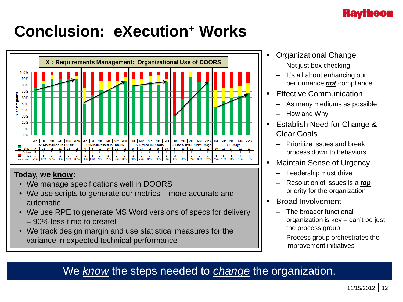

# **Conclusion: eXecution+ Works**



#### **Today, we know:**

- We manage specifications well in DOORS
- We use scripts to generate our metrics more accurate and automatic
- We use RPE to generate MS Word versions of specs for delivery – 90% less time to create!
- We track design margin and use statistical measures for the variance in expected technical performance
- Organizational Change
	- Not just box checking
	- It's all about enhancing our performance *not* compliance
- Effective Communication
	- As many mediums as possible
	- How and Why
- **Establish Need for Change &** Clear Goals
	- Prioritize issues and break process down to behaviors
- Maintain Sense of Urgency
	- Leadership must drive
	- Resolution of issues is a *top* priority for the organization
- **Broad Involvement** 
	- The broader functional organization is key – can't be just the process group
	- Process group orchestrates the improvement initiatives

#### We *know* the steps needed to *change* the organization.